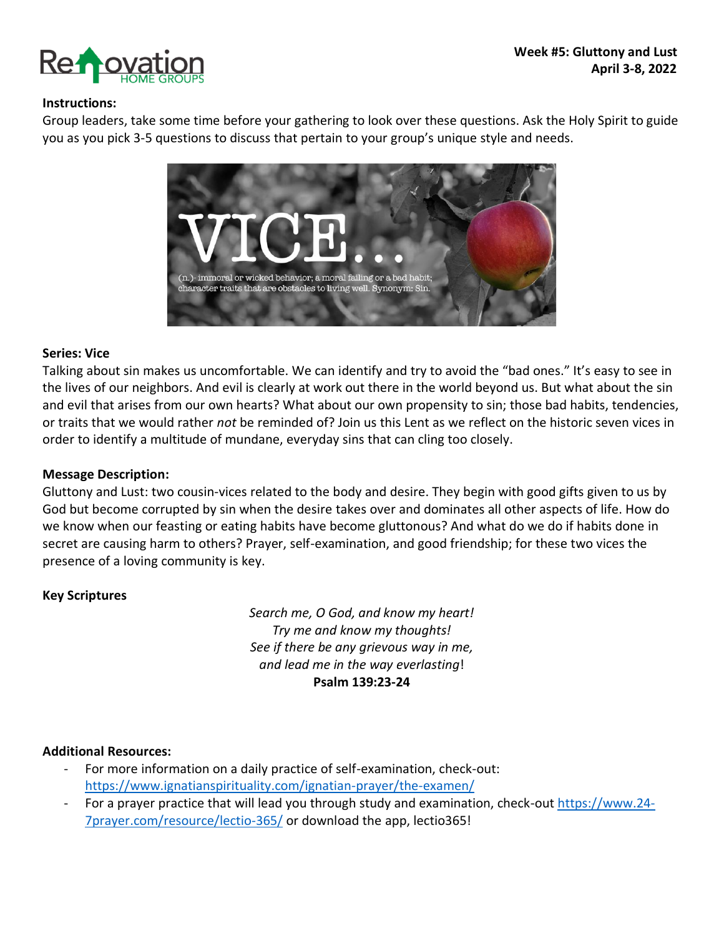

### **Instructions:**

Group leaders, take some time before your gathering to look over these questions. Ask the Holy Spirit to guide you as you pick 3-5 questions to discuss that pertain to your group's unique style and needs.



#### **Series: Vice**

Talking about sin makes us uncomfortable. We can identify and try to avoid the "bad ones." It's easy to see in the lives of our neighbors. And evil is clearly at work out there in the world beyond us. But what about the sin and evil that arises from our own hearts? What about our own propensity to sin; those bad habits, tendencies, or traits that we would rather *not* be reminded of? Join us this Lent as we reflect on the historic seven vices in order to identify a multitude of mundane, everyday sins that can cling too closely.

### **Message Description:**

Gluttony and Lust: two cousin-vices related to the body and desire. They begin with good gifts given to us by God but become corrupted by sin when the desire takes over and dominates all other aspects of life. How do we know when our feasting or eating habits have become gluttonous? And what do we do if habits done in secret are causing harm to others? Prayer, self-examination, and good friendship; for these two vices the presence of a loving community is key.

### **Key Scriptures**

*Search me, O God, and know my heart! Try me and know my thoughts! See if there be any grievous way in me, and lead me in the way everlasting*! **Psalm 139:23-24**

### **Additional Resources:**

- For more information on a daily practice of self-examination, check-out: <https://www.ignatianspirituality.com/ignatian-prayer/the-examen/>
- For a prayer practice that will lead you through study and examination, check-out [https://www.24-](https://www.24-7prayer.com/resource/lectio-365/) [7prayer.com/resource/lectio-365/](https://www.24-7prayer.com/resource/lectio-365/) or download the app, lectio365!